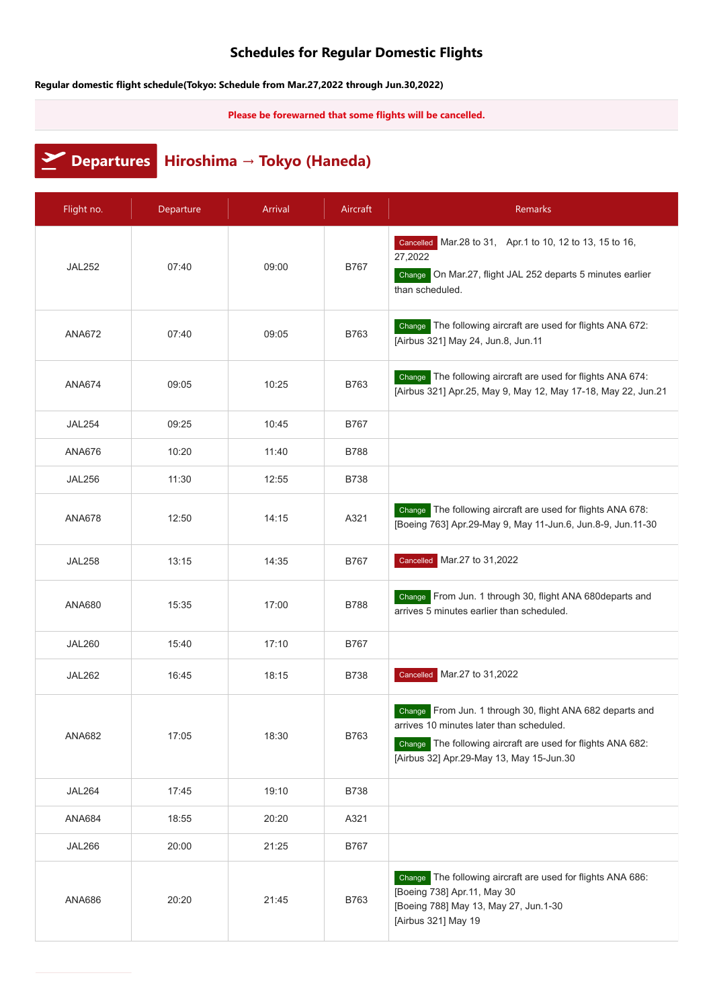## **Schedules for Regular Domestic Flights**

**Regular domestic flight schedule(Tokyo: Schedule from Mar.27,2022 through Jun.30,2022)**

**Please be forewarned that some flights will be cancelled.**

**Departures Hiroshima → Tokyo (Haneda)**

| Flight no.    | Departure | Arrival | Aircraft    | Remarks                                                                                                                                                                                                          |
|---------------|-----------|---------|-------------|------------------------------------------------------------------------------------------------------------------------------------------------------------------------------------------------------------------|
| <b>JAL252</b> | 07:40     | 09:00   | <b>B767</b> | Cancelled Mar.28 to 31, Apr.1 to 10, 12 to 13, 15 to 16,<br>27,2022<br>Change On Mar.27, flight JAL 252 departs 5 minutes earlier<br>than scheduled.                                                             |
| <b>ANA672</b> | 07:40     | 09:05   | B763        | Change The following aircraft are used for flights ANA 672:<br>[Airbus 321] May 24, Jun.8, Jun.11                                                                                                                |
| <b>ANA674</b> | 09:05     | 10:25   | B763        | Change The following aircraft are used for flights ANA 674:<br>[Airbus 321] Apr.25, May 9, May 12, May 17-18, May 22, Jun.21                                                                                     |
| <b>JAL254</b> | 09:25     | 10:45   | B767        |                                                                                                                                                                                                                  |
| <b>ANA676</b> | 10:20     | 11:40   | <b>B788</b> |                                                                                                                                                                                                                  |
| <b>JAL256</b> | 11:30     | 12:55   | <b>B738</b> |                                                                                                                                                                                                                  |
| <b>ANA678</b> | 12:50     | 14:15   | A321        | Change The following aircraft are used for flights ANA 678:<br>[Boeing 763] Apr.29-May 9, May 11-Jun.6, Jun.8-9, Jun.11-30                                                                                       |
| <b>JAL258</b> | 13:15     | 14:35   | <b>B767</b> | Cancelled Mar.27 to 31,2022                                                                                                                                                                                      |
| ANA680        | 15:35     | 17:00   | <b>B788</b> | Change From Jun. 1 through 30, flight ANA 680departs and<br>arrives 5 minutes earlier than scheduled.                                                                                                            |
| <b>JAL260</b> | 15:40     | 17:10   | <b>B767</b> |                                                                                                                                                                                                                  |
| <b>JAL262</b> | 16:45     | 18:15   | <b>B738</b> | Cancelled Mar.27 to 31,2022                                                                                                                                                                                      |
| ANA682        | 17:05     | 18:30   | B763        | Change From Jun. 1 through 30, flight ANA 682 departs and<br>arrives 10 minutes later than scheduled.<br>Change The following aircraft are used for flights ANA 682:<br>[Airbus 32] Apr.29-May 13, May 15-Jun.30 |
| <b>JAL264</b> | 17:45     | 19:10   | <b>B738</b> |                                                                                                                                                                                                                  |
| <b>ANA684</b> | 18:55     | 20:20   | A321        |                                                                                                                                                                                                                  |
| <b>JAL266</b> | 20:00     | 21:25   | <b>B767</b> |                                                                                                                                                                                                                  |
| <b>ANA686</b> | 20:20     | 21:45   | <b>B763</b> | Change The following aircraft are used for flights ANA 686:<br>[Boeing 738] Apr.11, May 30<br>[Boeing 788] May 13, May 27, Jun.1-30<br>[Airbus 321] May 19                                                       |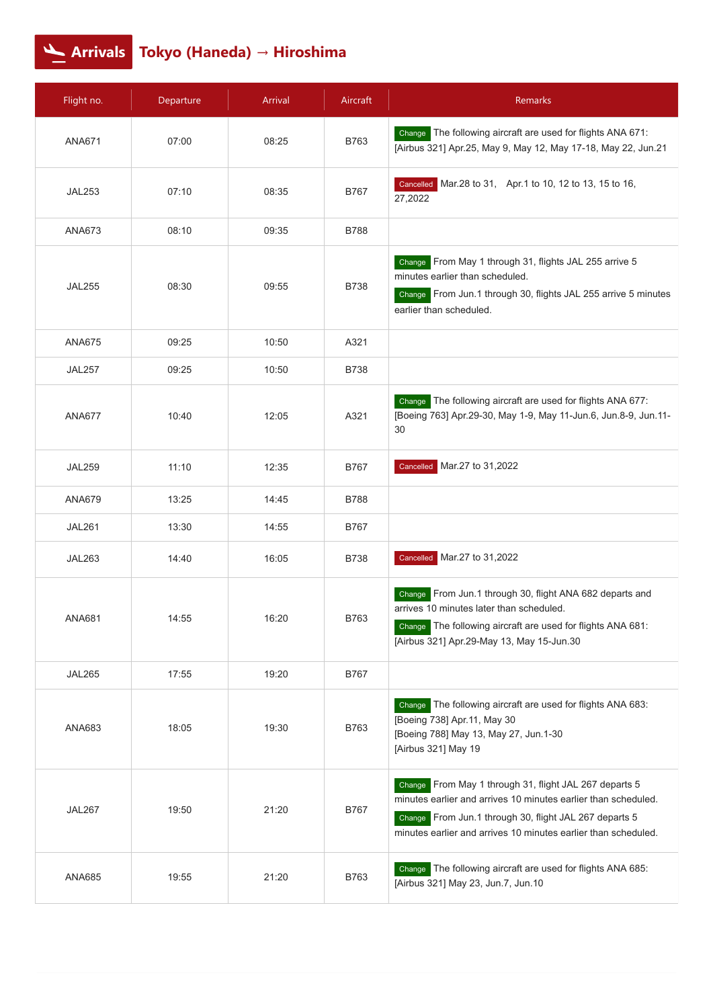## **Arrivals Tokyo (Haneda) → Hiroshima**

| Flight no.    | Departure | <b>Arrival</b> | Aircraft    | Remarks                                                                                                                                                                                                                                                 |
|---------------|-----------|----------------|-------------|---------------------------------------------------------------------------------------------------------------------------------------------------------------------------------------------------------------------------------------------------------|
| <b>ANA671</b> | 07:00     | 08:25          | B763        | Change The following aircraft are used for flights ANA 671:<br>[Airbus 321] Apr.25, May 9, May 12, May 17-18, May 22, Jun.21                                                                                                                            |
| <b>JAL253</b> | 07:10     | 08:35          | B767        | Cancelled Mar.28 to 31, Apr.1 to 10, 12 to 13, 15 to 16,<br>27,2022                                                                                                                                                                                     |
| ANA673        | 08:10     | 09:35          | <b>B788</b> |                                                                                                                                                                                                                                                         |
| <b>JAL255</b> | 08:30     | 09:55          | <b>B738</b> | Change From May 1 through 31, flights JAL 255 arrive 5<br>minutes earlier than scheduled.<br>Change From Jun.1 through 30, flights JAL 255 arrive 5 minutes<br>earlier than scheduled.                                                                  |
| <b>ANA675</b> | 09:25     | 10:50          | A321        |                                                                                                                                                                                                                                                         |
| <b>JAL257</b> | 09:25     | 10:50          | <b>B738</b> |                                                                                                                                                                                                                                                         |
| <b>ANA677</b> | 10:40     | 12:05          | A321        | The following aircraft are used for flights ANA 677:<br>Change<br>[Boeing 763] Apr.29-30, May 1-9, May 11-Jun.6, Jun.8-9, Jun.11-<br>30                                                                                                                 |
| <b>JAL259</b> | 11:10     | 12:35          | B767        | Cancelled Mar.27 to 31,2022                                                                                                                                                                                                                             |
| <b>ANA679</b> | 13:25     | 14:45          | <b>B788</b> |                                                                                                                                                                                                                                                         |
| <b>JAL261</b> | 13:30     | 14:55          | B767        |                                                                                                                                                                                                                                                         |
| <b>JAL263</b> | 14:40     | 16:05          | <b>B738</b> | Cancelled Mar.27 to 31,2022                                                                                                                                                                                                                             |
| <b>ANA681</b> | 14:55     | 16:20          | B763        | From Jun.1 through 30, flight ANA 682 departs and<br>Change<br>arrives 10 minutes later than scheduled.<br>Change The following aircraft are used for flights ANA 681:<br>[Airbus 321] Apr.29-May 13, May 15-Jun.30                                     |
| <b>JAL265</b> | 17:55     | 19:20          | <b>B767</b> |                                                                                                                                                                                                                                                         |
| ANA683        | 18:05     | 19:30          | B763        | Change The following aircraft are used for flights ANA 683:<br>[Boeing 738] Apr.11, May 30<br>[Boeing 788] May 13, May 27, Jun.1-30<br>[Airbus 321] May 19                                                                                              |
| <b>JAL267</b> | 19:50     | 21:20          | <b>B767</b> | From May 1 through 31, flight JAL 267 departs 5<br>Change<br>minutes earlier and arrives 10 minutes earlier than scheduled.<br>Change From Jun.1 through 30, flight JAL 267 departs 5<br>minutes earlier and arrives 10 minutes earlier than scheduled. |
| <b>ANA685</b> | 19:55     | 21:20          | B763        | Change The following aircraft are used for flights ANA 685:<br>[Airbus 321] May 23, Jun.7, Jun.10                                                                                                                                                       |